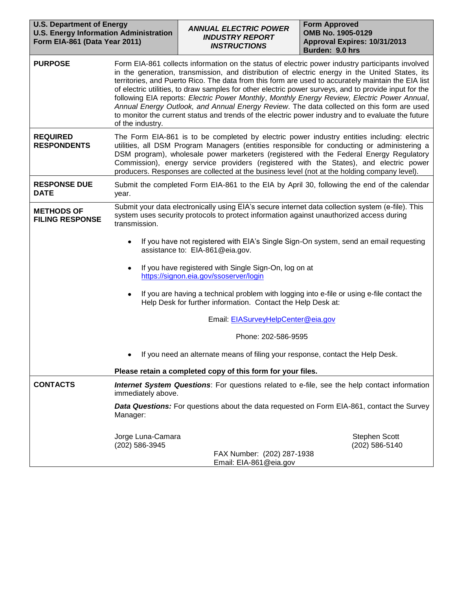| <b>U.S. Department of Energy</b><br><b>U.S. Energy Information Administration</b><br>Form EIA-861 (Data Year 2011) |                                                                                                                                                                                                                                                                                                                                                                                                                                                                                                                                                                                                                                                                                                                                          | <b>ANNUAL ELECTRIC POWER</b><br><b>INDUSTRY REPORT</b><br><b>INSTRUCTIONS</b>                                                                                                                                                                                                                                                                                                                                                                 | <b>Form Approved</b><br>OMB No. 1905-0129<br>Approval Expires: 10/31/2013<br>Burden: 9.0 hrs                                                                                                                                                                                             |
|--------------------------------------------------------------------------------------------------------------------|------------------------------------------------------------------------------------------------------------------------------------------------------------------------------------------------------------------------------------------------------------------------------------------------------------------------------------------------------------------------------------------------------------------------------------------------------------------------------------------------------------------------------------------------------------------------------------------------------------------------------------------------------------------------------------------------------------------------------------------|-----------------------------------------------------------------------------------------------------------------------------------------------------------------------------------------------------------------------------------------------------------------------------------------------------------------------------------------------------------------------------------------------------------------------------------------------|------------------------------------------------------------------------------------------------------------------------------------------------------------------------------------------------------------------------------------------------------------------------------------------|
| <b>PURPOSE</b>                                                                                                     | Form EIA-861 collects information on the status of electric power industry participants involved<br>in the generation, transmission, and distribution of electric energy in the United States, its<br>territories, and Puerto Rico. The data from this form are used to accurately maintain the EIA list<br>of electric utilities, to draw samples for other electric power surveys, and to provide input for the<br>following EIA reports: Electric Power Monthly, Monthly Energy Review, Electric Power Annual,<br>Annual Energy Outlook, and Annual Energy Review. The data collected on this form are used<br>to monitor the current status and trends of the electric power industry and to evaluate the future<br>of the industry. |                                                                                                                                                                                                                                                                                                                                                                                                                                               |                                                                                                                                                                                                                                                                                          |
| <b>REQUIRED</b><br><b>RESPONDENTS</b>                                                                              | The Form EIA-861 is to be completed by electric power industry entities including: electric<br>utilities, all DSM Program Managers (entities responsible for conducting or administering a<br>DSM program), wholesale power marketers (registered with the Federal Energy Regulatory<br>Commission), energy service providers (registered with the States), and electric power<br>producers. Responses are collected at the business level (not at the holding company level).                                                                                                                                                                                                                                                           |                                                                                                                                                                                                                                                                                                                                                                                                                                               |                                                                                                                                                                                                                                                                                          |
| <b>RESPONSE DUE</b><br><b>DATE</b>                                                                                 | year.                                                                                                                                                                                                                                                                                                                                                                                                                                                                                                                                                                                                                                                                                                                                    |                                                                                                                                                                                                                                                                                                                                                                                                                                               | Submit the completed Form EIA-861 to the EIA by April 30, following the end of the calendar                                                                                                                                                                                              |
| <b>METHODS OF</b><br><b>FILING RESPONSE</b>                                                                        | transmission.<br>٠<br>$\bullet$<br>٠<br>٠                                                                                                                                                                                                                                                                                                                                                                                                                                                                                                                                                                                                                                                                                                | system uses security protocols to protect information against unauthorized access during<br>assistance to: EIA-861@eia.gov.<br>If you have registered with Single Sign-On, log on at<br>https://signon.eia.gov/ssoserver/login<br>Help Desk for further information. Contact the Help Desk at:<br>Email: EIASurveyHelpCenter@eia.gov<br>Phone: 202-586-9595<br>If you need an alternate means of filing your response, contact the Help Desk. | Submit your data electronically using EIA's secure internet data collection system (e-file). This<br>If you have not registered with EIA's Single Sign-On system, send an email requesting<br>If you are having a technical problem with logging into e-file or using e-file contact the |
|                                                                                                                    |                                                                                                                                                                                                                                                                                                                                                                                                                                                                                                                                                                                                                                                                                                                                          | Please retain a completed copy of this form for your files.                                                                                                                                                                                                                                                                                                                                                                                   |                                                                                                                                                                                                                                                                                          |
| <b>CONTACTS</b>                                                                                                    | <b>Internet System Questions:</b> For questions related to e-file, see the help contact information<br>immediately above.                                                                                                                                                                                                                                                                                                                                                                                                                                                                                                                                                                                                                |                                                                                                                                                                                                                                                                                                                                                                                                                                               |                                                                                                                                                                                                                                                                                          |
|                                                                                                                    | Manager:                                                                                                                                                                                                                                                                                                                                                                                                                                                                                                                                                                                                                                                                                                                                 |                                                                                                                                                                                                                                                                                                                                                                                                                                               | <b>Data Questions:</b> For questions about the data requested on Form EIA-861, contact the Survey                                                                                                                                                                                        |
|                                                                                                                    | Jorge Luna-Camara<br>(202) 586-3945                                                                                                                                                                                                                                                                                                                                                                                                                                                                                                                                                                                                                                                                                                      | FAX Number: (202) 287-1938<br>Email: EIA-861@eia.gov                                                                                                                                                                                                                                                                                                                                                                                          | <b>Stephen Scott</b><br>(202) 586-5140                                                                                                                                                                                                                                                   |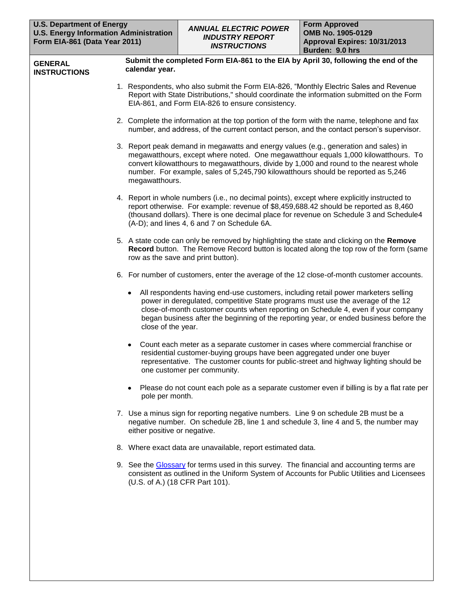| <b>GENERAL</b><br><b>INSTRUCTIONS</b> | Submit the completed Form EIA-861 to the EIA by April 30, following the end of the<br>calendar year.                                                                                                                                                                                                                                                                            |
|---------------------------------------|---------------------------------------------------------------------------------------------------------------------------------------------------------------------------------------------------------------------------------------------------------------------------------------------------------------------------------------------------------------------------------|
|                                       | 1. Respondents, who also submit the Form EIA-826, "Monthly Electric Sales and Revenue<br>Report with State Distributions," should coordinate the information submitted on the Form<br>EIA-861, and Form EIA-826 to ensure consistency.                                                                                                                                          |
|                                       | 2. Complete the information at the top portion of the form with the name, telephone and fax<br>number, and address, of the current contact person, and the contact person's supervisor.                                                                                                                                                                                         |
|                                       | 3. Report peak demand in megawatts and energy values (e.g., generation and sales) in<br>megawatthours, except where noted. One megawatthour equals 1,000 kilowatthours. To<br>convert kilowatthours to megawatthours, divide by 1,000 and round to the nearest whole<br>number. For example, sales of 5,245,790 kilowatthours should be reported as 5,246<br>megawatthours.     |
|                                       | 4. Report in whole numbers (i.e., no decimal points), except where explicitly instructed to<br>report otherwise. For example: revenue of \$8,459,688.42 should be reported as 8,460<br>(thousand dollars). There is one decimal place for revenue on Schedule 3 and Schedule4<br>(A-D); and lines 4, 6 and 7 on Schedule 6A.                                                    |
|                                       | 5. A state code can only be removed by highlighting the state and clicking on the Remove<br>Record button. The Remove Record button is located along the top row of the form (same<br>row as the save and print button).                                                                                                                                                        |
|                                       | 6. For number of customers, enter the average of the 12 close-of-month customer accounts.                                                                                                                                                                                                                                                                                       |
|                                       | All respondents having end-use customers, including retail power marketers selling<br>٠<br>power in deregulated, competitive State programs must use the average of the 12<br>close-of-month customer counts when reporting on Schedule 4, even if your company<br>began business after the beginning of the reporting year, or ended business before the<br>close of the year. |
|                                       | Count each meter as a separate customer in cases where commercial franchise or<br>٠<br>residential customer-buying groups have been aggregated under one buyer<br>representative. The customer counts for public-street and highway lighting should be<br>one customer per community.                                                                                           |
|                                       | Please do not count each pole as a separate customer even if billing is by a flat rate per<br>pole per month.                                                                                                                                                                                                                                                                   |
|                                       | 7. Use a minus sign for reporting negative numbers. Line 9 on schedule 2B must be a<br>negative number. On schedule 2B, line 1 and schedule 3, line 4 and 5, the number may<br>either positive or negative.                                                                                                                                                                     |
|                                       | 8. Where exact data are unavailable, report estimated data.                                                                                                                                                                                                                                                                                                                     |
|                                       | 9. See the Glossary for terms used in this survey. The financial and accounting terms are<br>consistent as outlined in the Uniform System of Accounts for Public Utilities and Licensees<br>(U.S. of A.) (18 CFR Part 101).                                                                                                                                                     |
|                                       |                                                                                                                                                                                                                                                                                                                                                                                 |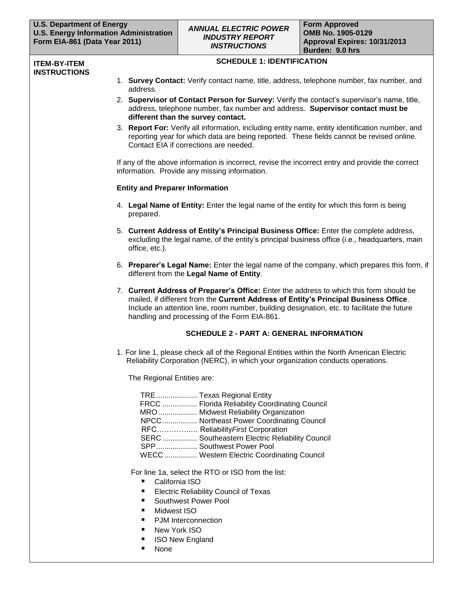#### **ITEM-BY-ITEM INSTRUCTIONS**

#### **SCHEDULE 1: IDENTIFICATION**

- 1. **Survey Contact:** Verify contact name, title, address, telephone number, fax number, and address.
- 2. **Supervisor of Contact Person for Survey:** Verify the contact's supervisor's name, title, address, telephone number, fax number and address. **Supervisor contact must be different than the survey contact.**
- 3. **Report For:** Verify all information, including entity name, entity identification number, and reporting year for which data are being reported. These fields cannot be revised online. Contact EIA if corrections are needed.

If any of the above information is incorrect, revise the incorrect entry and provide the correct information. Provide any missing information.

## **Entity and Preparer Information**

- 4. **Legal Name of Entity:** Enter the legal name of the entity for which this form is being prepared.
- 5. **Current Address of Entity's Principal Business Office:** Enter the complete address, excluding the legal name, of the entity's principal business office (i.e., headquarters, main office, etc.).
- 6. **Preparer's Legal Name:** Enter the legal name of the company, which prepares this form, if different from the **Legal Name of Entity**.
- 7. **Current Address of Preparer's Office:** Enter the address to which this form should be mailed, if different from the **Current Address of Entity's Principal Business Office**. Include an attention line, room number, building designation, etc. to facilitate the future handling and processing of the Form EIA-861.

## **SCHEDULE 2 - PART A: GENERAL INFORMATION**

1. For line 1, please check all of the Regional Entities within the North American Electric Reliability Corporation (NERC), in which your organization conducts operations.

The Regional Entities are:

| TRE  Texas Regional Entity                     |
|------------------------------------------------|
| FRCC  Florida Reliability Coordinating Council |
| MRO  Midwest Reliability Organization          |
| NPCC Northeast Power Coordinating Council      |
| RFC Reliability First Corporation              |
| SERC Southeastern Electric Reliability Council |
| SPP Southwest Power Pool                       |
| WECC Western Electric Coordinating Council     |

For line 1a, select the RTO or ISO from the list:

- California ISO
- **Electric Reliability Council of Texas**
- Southwest Power Pool
- **Nidwest ISO**
- PJM Interconnection
- New York ISO
- ISO New England
- None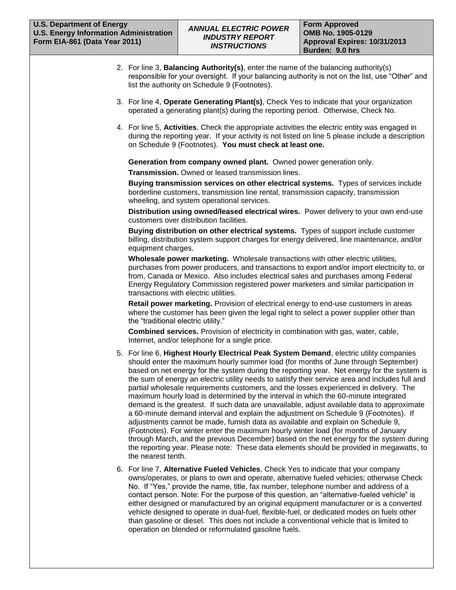- 2. For line 3, **Balancing Authority(s)**, enter the name of the balancing authority(s) responsible for your oversight. If your balancing authority is not on the list, use "Other" and list the authority on Schedule 9 (Footnotes).
- 3. For line 4, **Operate Generating Plant(s)**, Check Yes to indicate that your organization operated a generating plant(s) during the reporting period. Otherwise, Check No.
- 4. For line 5, **Activities**, Check the appropriate activities the electric entity was engaged in during the reporting year. If your activity is not listed on line 5 please include a description on Schedule 9 (Footnotes). **You must check at least one.**

**Generation from company owned plant.** Owned power generation only.

**Transmission.** Owned or leased transmission lines.

**Buying transmission services on other electrical systems.** Types of services include borderline customers, transmission line rental, transmission capacity, transmission wheeling, and system operational services.

**Distribution using owned/leased electrical wires.** Power delivery to your own end-use customers over distribution facilities.

**Buying distribution on other electrical systems.** Types of support include customer billing, distribution system support charges for energy delivered, line maintenance, and/or equipment charges.

**Wholesale power marketing.** Wholesale transactions with other electric utilities, purchases from power producers, and transactions to export and/or import electricity to, or from, Canada or Mexico. Also includes electrical sales and purchases among Federal Energy Regulatory Commission registered power marketers and similar participation in transactions with electric utilities.

**Retail power marketing.** Provision of electrical energy to end-use customers in areas where the customer has been given the legal right to select a power supplier other than the "traditional electric utility."

**Combined services.** Provision of electricity in combination with gas, water, cable, Internet, and/or telephone for a single price.

- 5. For line 6, **Highest Hourly Electrical Peak System Demand**, electric utility companies should enter the maximum hourly summer load (for months of June through September) based on net energy for the system during the reporting year. Net energy for the system is the sum of energy an electric utility needs to satisfy their service area and includes full and partial wholesale requirements customers, and the losses experienced in delivery. The maximum hourly load is determined by the interval in which the 60-minute integrated demand is the greatest. If such data are unavailable, adjust available data to approximate a 60-minute demand interval and explain the adjustment on Schedule 9 (Footnotes). If adjustments cannot be made, furnish data as available and explain on Schedule 9, (Footnotes). For winter enter the maximum hourly winter load (for months of January through March, and the previous December) based on the net energy for the system during the reporting year. Please note: These data elements should be provided in megawatts, to the nearest tenth.
- 6. For line 7, **Alternative Fueled Vehicles**, Check Yes to indicate that your company owns/operates, or plans to own and operate, alternative fueled vehicles; otherwise Check No. If "Yes," provide the name, title, fax number, telephone number and address of a contact person. Note: For the purpose of this question, an "alternative-fueled vehicle" is either designed or manufactured by an original equipment manufacturer or is a converted vehicle designed to operate in dual-fuel, flexible-fuel, or dedicated modes on fuels other than gasoline or diesel. This does not include a conventional vehicle that is limited to operation on blended or reformulated gasoline fuels.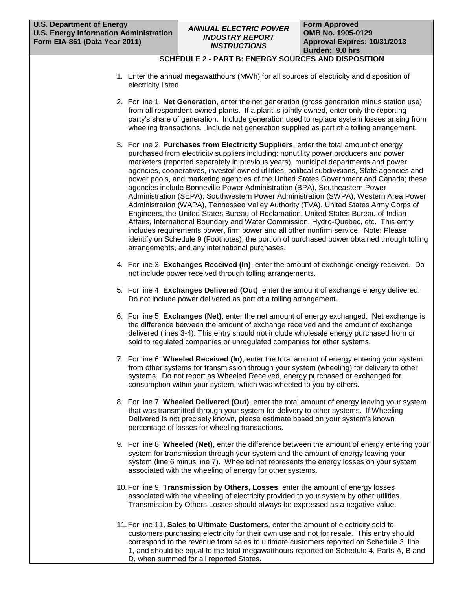# **SCHEDULE 2 - PART B: ENERGY SOURCES AND DISPOSITION**

- 1. Enter the annual megawatthours (MWh) for all sources of electricity and disposition of electricity listed.
- 2. For line 1, **Net Generation**, enter the net generation (gross generation minus station use) from all respondent-owned plants. If a plant is jointly owned, enter only the reporting party's share of generation. Include generation used to replace system losses arising from wheeling transactions. Include net generation supplied as part of a tolling arrangement.
- 3. For line 2, **Purchases from Electricity Suppliers**, enter the total amount of energy purchased from electricity suppliers including: nonutility power producers and power marketers (reported separately in previous years), municipal departments and power agencies, cooperatives, investor-owned utilities, political subdivisions, State agencies and power pools, and marketing agencies of the United States Government and Canada; these agencies include Bonneville Power Administration (BPA), Southeastern Power Administration (SEPA), Southwestern Power Administration (SWPA), Western Area Power Administration (WAPA), Tennessee Valley Authority (TVA), United States Army Corps of Engineers, the United States Bureau of Reclamation, United States Bureau of Indian Affairs, International Boundary and Water Commission, Hydro-Quebec, etc. This entry includes requirements power, firm power and all other nonfirm service. Note: Please identify on Schedule 9 (Footnotes), the portion of purchased power obtained through tolling arrangements, and any international purchases.
- 4. For line 3, **Exchanges Received (In)**, enter the amount of exchange energy received. Do not include power received through tolling arrangements.
- 5. For line 4, **Exchanges Delivered (Out)**, enter the amount of exchange energy delivered. Do not include power delivered as part of a tolling arrangement.
- 6. For line 5, **Exchanges (Net)**, enter the net amount of energy exchanged. Net exchange is the difference between the amount of exchange received and the amount of exchange delivered (lines 3-4). This entry should not include wholesale energy purchased from or sold to regulated companies or unregulated companies for other systems.
- 7. For line 6, **Wheeled Received (In)**, enter the total amount of energy entering your system from other systems for transmission through your system (wheeling) for delivery to other systems. Do not report as Wheeled Received, energy purchased or exchanged for consumption within your system, which was wheeled to you by others.
- 8. For line 7, **Wheeled Delivered (Out)**, enter the total amount of energy leaving your system that was transmitted through your system for delivery to other systems. If Wheeling Delivered is not precisely known, please estimate based on your system's known percentage of losses for wheeling transactions.
- 9. For line 8, **Wheeled (Net)**, enter the difference between the amount of energy entering your system for transmission through your system and the amount of energy leaving your system (line 6 minus line 7). Wheeled net represents the energy losses on your system associated with the wheeling of energy for other systems.
- 10.For line 9, **Transmission by Others, Losses**, enter the amount of energy losses associated with the wheeling of electricity provided to your system by other utilities. Transmission by Others Losses should always be expressed as a negative value.
- 11.For line 11**, Sales to Ultimate Customers**, enter the amount of electricity sold to customers purchasing electricity for their own use and not for resale. This entry should correspond to the revenue from sales to ultimate customers reported on Schedule 3, line 1, and should be equal to the total megawatthours reported on Schedule 4, Parts A, B and D, when summed for all reported States.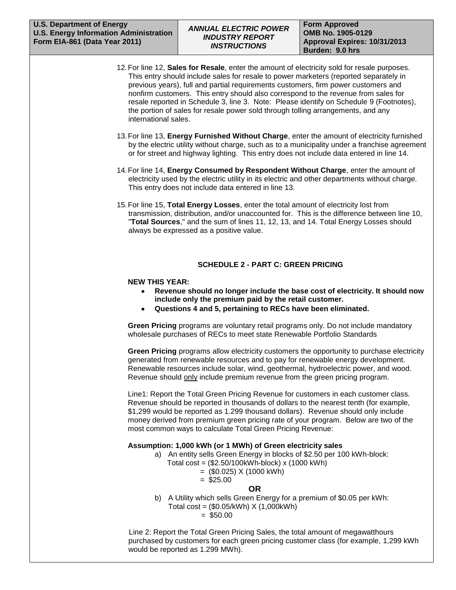- 12.For line 12, **Sales for Resale**, enter the amount of electricity sold for resale purposes. This entry should include sales for resale to power marketers (reported separately in previous years), full and partial requirements customers, firm power customers and nonfirm customers. This entry should also correspond to the revenue from sales for resale reported in Schedule 3, line 3. Note: Please identify on Schedule 9 (Footnotes), the portion of sales for resale power sold through tolling arrangements, and any international sales.
- 13.For line 13, **Energy Furnished Without Charge**, enter the amount of electricity furnished by the electric utility without charge, such as to a municipality under a franchise agreement or for street and highway lighting. This entry does not include data entered in line 14.
- 14.For line 14, **Energy Consumed by Respondent Without Charge**, enter the amount of electricity used by the electric utility in its electric and other departments without charge. This entry does not include data entered in line 13.
- 15.For line 15, **Total Energy Losses**, enter the total amount of electricity lost from transmission, distribution, and/or unaccounted for. This is the difference between line 10, "**Total Sources**," and the sum of lines 11, 12, 13, and 14. Total Energy Losses should always be expressed as a positive value.

# **SCHEDULE 2 - PART C: GREEN PRICING**

#### **NEW THIS YEAR:**

- **Revenue should no longer include the base cost of electricity. It should now include only the premium paid by the retail customer.**
- **Questions 4 and 5, pertaining to RECs have been eliminated.**

**Green Pricing** programs are voluntary retail programs only. Do not include mandatory wholesale purchases of RECs to meet state Renewable Portfolio Standards

**Green Pricing** programs allow electricity customers the opportunity to purchase electricity generated from renewable resources and to pay for renewable energy development. Renewable resources include solar, wind, geothermal, hydroelectric power, and wood. Revenue should only include premium revenue from the green pricing program.

Line1: Report the Total Green Pricing Revenue for customers in each customer class. Revenue should be reported in thousands of dollars to the nearest tenth (for example, \$1,299 would be reported as 1.299 thousand dollars). Revenue should only include money derived from premium green pricing rate of your program. Below are two of the most common ways to calculate Total Green Pricing Revenue:

## **Assumption: 1,000 kWh (or 1 MWh) of Green electricity sales**

- a) An entity sells Green Energy in blocks of \$2.50 per 100 kWh-block:
	- Total cost = (\$2.50/100kWh-block) x (1000 kWh)
		- $=$  (\$0.025) X (1000 kWh)

# $=$  \$25.00

# **OR**

b) A Utility which sells Green Energy for a premium of \$0.05 per kWh: Total cost =  $(\$0.05/kWh) X (1,000kWh)$ 

 $=$  \$50.00

 Line 2: Report the Total Green Pricing Sales, the total amount of megawatthours purchased by customers for each green pricing customer class (for example, 1,299 kWh would be reported as 1.299 MWh).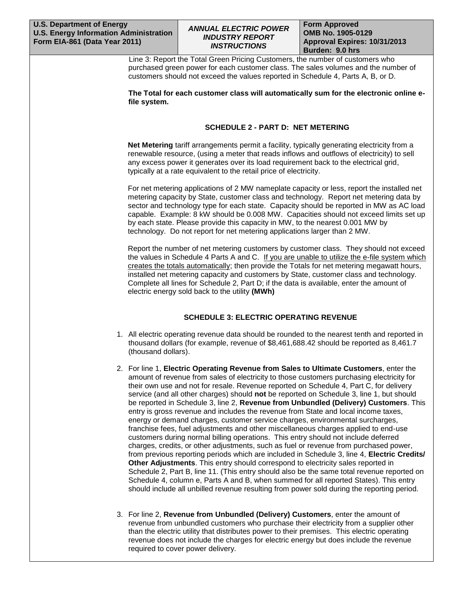# *ANNUAL ELECTRIC POWER INDUSTRY REPORT INSTRUCTIONS*

**Form Approved OMB No. 1905-0129 Approval Expires: 10/31/2013 Burden: 9.0 hrs** 

 Line 3: Report the Total Green Pricing Customers, the number of customers who purchased green power for each customer class. The sales volumes and the number of customers should not exceed the values reported in Schedule 4, Parts A, B, or D.

**The Total for each customer class will automatically sum for the electronic online efile system.** 

# **SCHEDULE 2 - PART D: NET METERING**

**Net Metering** tariff arrangements permit a facility, typically generating electricity from a renewable resource, (using a meter that reads inflows and outflows of electricity) to sell any excess power it generates over its load requirement back to the electrical grid, typically at a rate equivalent to the retail price of electricity.

For net metering applications of 2 MW nameplate capacity or less, report the installed net metering capacity by State, customer class and technology. Report net metering data by sector and technology type for each state. Capacity should be reported in MW as AC load capable. Example: 8 kW should be 0.008 MW. Capacities should not exceed limits set up by each state. Please provide this capacity in MW, to the nearest 0.001 MW by technology. Do not report for net metering applications larger than 2 MW.

Report the number of net metering customers by customer class. They should not exceed the values in Schedule 4 Parts A and C. If you are unable to utilize the e-file system which creates the totals automatically; then provide the Totals for net metering megawatt hours, installed net metering capacity and customers by State, customer class and technology. Complete all lines for Schedule 2, Part D; if the data is available, enter the amount of electric energy sold back to the utility **(MWh)**

## **SCHEDULE 3: ELECTRIC OPERATING REVENUE**

- 1. All electric operating revenue data should be rounded to the nearest tenth and reported in thousand dollars (for example, revenue of \$8,461,688.42 should be reported as 8,461.7 (thousand dollars).
- 2. For line 1, **Electric Operating Revenue from Sales to Ultimate Customers**, enter the amount of revenue from sales of electricity to those customers purchasing electricity for their own use and not for resale. Revenue reported on Schedule 4, Part C, for delivery service (and all other charges) should **not** be reported on Schedule 3, line 1, but should be reported in Schedule 3, line 2, **Revenue from Unbundled (Delivery) Customers**. This entry is gross revenue and includes the revenue from State and local income taxes, energy or demand charges, customer service charges, environmental surcharges, franchise fees, fuel adjustments and other miscellaneous charges applied to end-use customers during normal billing operations. This entry should not include deferred charges, credits, or other adjustments, such as fuel or revenue from purchased power, from previous reporting periods which are included in Schedule 3, line 4, **Electric Credits/ Other Adjustments**. This entry should correspond to electricity sales reported in Schedule 2, Part B, line 11. (This entry should also be the same total revenue reported on Schedule 4, column e, Parts A and B, when summed for all reported States). This entry should include all unbilled revenue resulting from power sold during the reporting period.
- 3. For line 2, **Revenue from Unbundled (Delivery) Customers**, enter the amount of revenue from unbundled customers who purchase their electricity from a supplier other than the electric utility that distributes power to their premises. This electric operating revenue does not include the charges for electric energy but does include the revenue required to cover power delivery.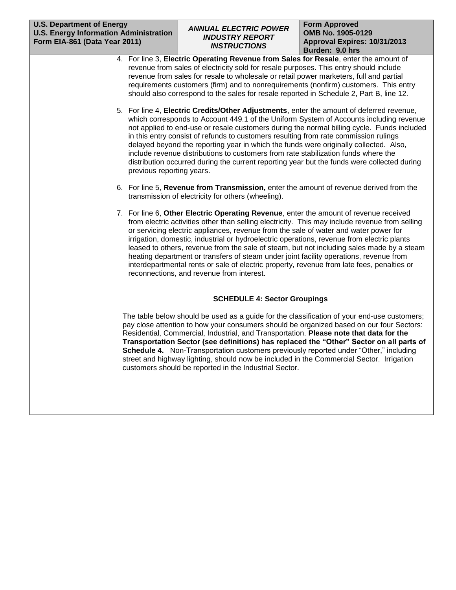- 4. For line 3, **Electric Operating Revenue from Sales for Resale**, enter the amount of revenue from sales of electricity sold for resale purposes. This entry should include revenue from sales for resale to wholesale or retail power marketers, full and partial requirements customers (firm) and to nonrequirements (nonfirm) customers. This entry should also correspond to the sales for resale reported in Schedule 2, Part B, line 12.
- 5. For line 4, **Electric Credits/Other Adjustments**, enter the amount of deferred revenue, which corresponds to Account 449.1 of the Uniform System of Accounts including revenue not applied to end-use or resale customers during the normal billing cycle. Funds included in this entry consist of refunds to customers resulting from rate commission rulings delayed beyond the reporting year in which the funds were originally collected. Also, include revenue distributions to customers from rate stabilization funds where the distribution occurred during the current reporting year but the funds were collected during previous reporting years.
- 6. For line 5, **Revenue from Transmission,** enter the amount of revenue derived from the transmission of electricity for others (wheeling).
- 7. For line 6, **Other Electric Operating Revenue**, enter the amount of revenue received from electric activities other than selling electricity. This may include revenue from selling or servicing electric appliances, revenue from the sale of water and water power for irrigation, domestic, industrial or hydroelectric operations, revenue from electric plants leased to others, revenue from the sale of steam, but not including sales made by a steam heating department or transfers of steam under joint facility operations, revenue from interdepartmental rents or sale of electric property, revenue from late fees, penalties or reconnections, and revenue from interest.

# **SCHEDULE 4: Sector Groupings**

The table below should be used as a guide for the classification of your end-use customers; pay close attention to how your consumers should be organized based on our four Sectors: Residential, Commercial, Industrial, and Transportation. **Please note that data for the Transportation Sector (see definitions) has replaced the "Other" Sector on all parts of Schedule 4.** Non-Transportation customers previously reported under "Other," including street and highway lighting, should now be included in the Commercial Sector. Irrigation customers should be reported in the Industrial Sector.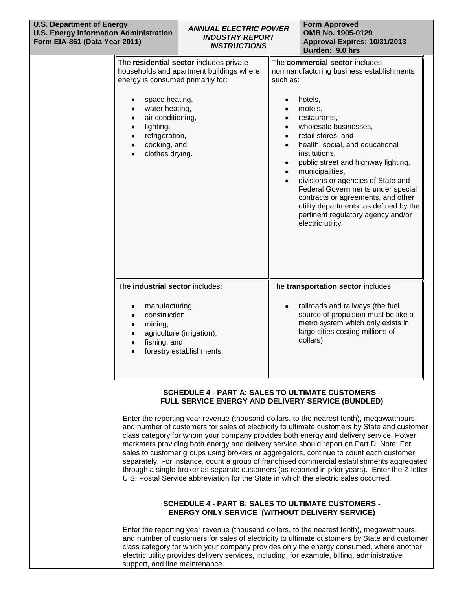| <b>U.S. Department of Energy</b><br><b>U.S. Energy Information Administration</b><br>Form EIA-861 (Data Year 2011) |                                                                                                                                                                                                     | <b>ANNUAL ELECTRIC POWER</b><br><b>INDUSTRY REPORT</b><br><b>INSTRUCTIONS</b>       |                                                                                                     | <b>Form Approved</b><br>OMB No. 1905-0129<br>Approval Expires: 10/31/2013<br>Burden: 9.0 hrs                                                                                                                                                                                                                                                                                                                                                                                                        |
|--------------------------------------------------------------------------------------------------------------------|-----------------------------------------------------------------------------------------------------------------------------------------------------------------------------------------------------|-------------------------------------------------------------------------------------|-----------------------------------------------------------------------------------------------------|-----------------------------------------------------------------------------------------------------------------------------------------------------------------------------------------------------------------------------------------------------------------------------------------------------------------------------------------------------------------------------------------------------------------------------------------------------------------------------------------------------|
|                                                                                                                    | energy is consumed primarily for:<br>space heating,<br>water heating,<br>air conditioning,<br>$\bullet$<br>lighting,<br>$\bullet$<br>refrigeration,<br>$\bullet$<br>cooking, and<br>clothes drying. | The residential sector includes private<br>households and apartment buildings where | such as:<br>$\bullet$<br>$\bullet$<br>$\bullet$<br>$\bullet$<br>$\bullet$<br>$\bullet$<br>$\bullet$ | The commercial sector includes<br>nonmanufacturing business establishments<br>hotels,<br>motels,<br>restaurants,<br>wholesale businesses,<br>retail stores, and<br>health, social, and educational<br>institutions.<br>public street and highway lighting,<br>municipalities,<br>divisions or agencies of State and<br>Federal Governments under special<br>contracts or agreements, and other<br>utility departments, as defined by the<br>pertinent regulatory agency and/or<br>electric utility. |
|                                                                                                                    | The industrial sector includes:<br>manufacturing,<br>construction,<br>$\bullet$<br>mining,<br>$\bullet$<br>$\bullet$<br>fishing, and<br>$\bullet$                                                   | agriculture (irrigation),<br>forestry establishments.                               | $\bullet$                                                                                           | The transportation sector includes:<br>railroads and railways (the fuel<br>source of propulsion must be like a<br>metro system which only exists in<br>large cities costing millions of<br>dollars)                                                                                                                                                                                                                                                                                                 |

#### **SCHEDULE 4 - PART A: SALES TO ULTIMATE CUSTOMERS - FULL SERVICE ENERGY AND DELIVERY SERVICE (BUNDLED)**

Enter the reporting year revenue (thousand dollars, to the nearest tenth), megawatthours, and number of customers for sales of electricity to ultimate customers by State and customer class category for whom your company provides both energy and delivery service. Power marketers providing both energy and delivery service should report on Part D. Note: For sales to customer groups using brokers or aggregators, continue to count each customer separately. For instance, count a group of franchised commercial establishments aggregated through a single broker as separate customers (as reported in prior years). Enter the 2-letter U.S. Postal Service abbreviation for the State in which the electric sales occurred.

#### **SCHEDULE 4 - PART B: SALES TO ULTIMATE CUSTOMERS - ENERGY ONLY SERVICE (WITHOUT DELIVERY SERVICE)**

Enter the reporting year revenue (thousand dollars, to the nearest tenth), megawatthours, and number of customers for sales of electricity to ultimate customers by State and customer class category for which your company provides only the energy consumed, where another electric utility provides delivery services, including, for example, billing, administrative support, and line maintenance.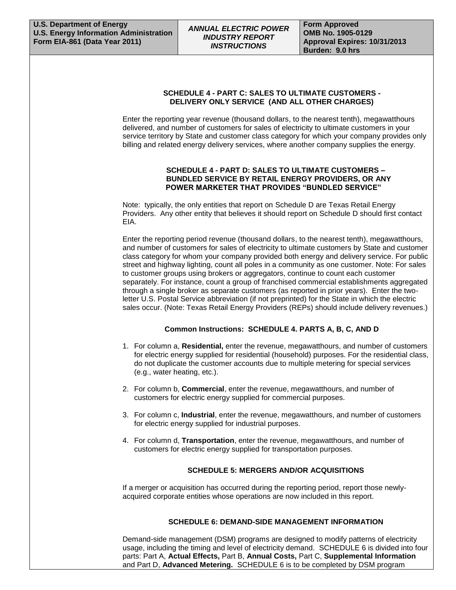## **SCHEDULE 4 - PART C: SALES TO ULTIMATE CUSTOMERS - DELIVERY ONLY SERVICE (AND ALL OTHER CHARGES)**

Enter the reporting year revenue (thousand dollars, to the nearest tenth), megawatthours delivered, and number of customers for sales of electricity to ultimate customers in your service territory by State and customer class category for which your company provides only billing and related energy delivery services, where another company supplies the energy.

#### **SCHEDULE 4 - PART D: SALES TO ULTIMATE CUSTOMERS – BUNDLED SERVICE BY RETAIL ENERGY PROVIDERS, OR ANY POWER MARKETER THAT PROVIDES "BUNDLED SERVICE"**

Note: typically, the only entities that report on Schedule D are Texas Retail Energy Providers. Any other entity that believes it should report on Schedule D should first contact EIA.

Enter the reporting period revenue (thousand dollars, to the nearest tenth), megawatthours, and number of customers for sales of electricity to ultimate customers by State and customer class category for whom your company provided both energy and delivery service. For public street and highway lighting, count all poles in a community as one customer. Note: For sales to customer groups using brokers or aggregators, continue to count each customer separately. For instance, count a group of franchised commercial establishments aggregated through a single broker as separate customers (as reported in prior years). Enter the twoletter U.S. Postal Service abbreviation (if not preprinted) for the State in which the electric sales occur. (Note: Texas Retail Energy Providers (REPs) should include delivery revenues.)

## **Common Instructions: SCHEDULE 4. PARTS A, B, C, AND D**

- 1. For column a, **Residential,** enter the revenue, megawatthours, and number of customers for electric energy supplied for residential (household) purposes. For the residential class, do not duplicate the customer accounts due to multiple metering for special services (e.g., water heating, etc.).
- 2. For column b, **Commercial**, enter the revenue, megawatthours, and number of customers for electric energy supplied for commercial purposes.
- 3. For column c, **Industrial**, enter the revenue, megawatthours, and number of customers for electric energy supplied for industrial purposes.
- 4. For column d, **Transportation**, enter the revenue, megawatthours, and number of customers for electric energy supplied for transportation purposes.

## **SCHEDULE 5: MERGERS AND/OR ACQUISITIONS**

If a merger or acquisition has occurred during the reporting period, report those newlyacquired corporate entities whose operations are now included in this report.

## **SCHEDULE 6: DEMAND-SIDE MANAGEMENT INFORMATION**

Demand-side management (DSM) programs are designed to modify patterns of electricity usage, including the timing and level of electricity demand. SCHEDULE 6 is divided into four parts: Part A, **Actual Effects,** Part B, **Annual Costs,** Part C, **Supplemental Information**  and Part D, **Advanced Metering.** SCHEDULE 6 is to be completed by DSM program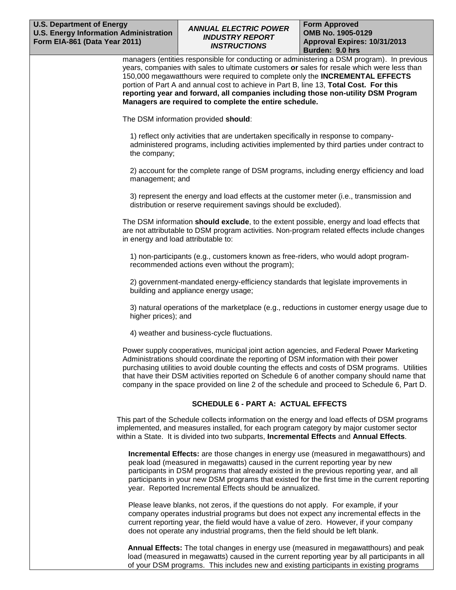#### **U.S. Department of Energy U.S. Energy Information Administration Form EIA-861 (Data Year 2011)**

# *ANNUAL ELECTRIC POWER INDUSTRY REPORT INSTRUCTIONS*

**Form Approved OMB No. 1905-0129 Approval Expires: 10/31/2013 Burden: 9.0 hrs** 

managers (entities responsible for conducting or administering a DSM program). In previous years, companies with sales to ultimate customers **or** sales for resale which were less than 150,000 megawatthours were required to complete only the **INCREMENTAL EFFECTS** portion of Part A and annual cost to achieve in Part B, line 13, **Total Cost. For this reporting year and forward, all companies including those non-utility DSM Program Managers are required to complete the entire schedule.** 

The DSM information provided **should**:

1) reflect only activities that are undertaken specifically in response to companyadministered programs, including activities implemented by third parties under contract to the company;

2) account for the complete range of DSM programs, including energy efficiency and load management; and

3) represent the energy and load effects at the customer meter (i.e., transmission and distribution or reserve requirement savings should be excluded).

The DSM information **should exclude**, to the extent possible, energy and load effects that are not attributable to DSM program activities. Non-program related effects include changes in energy and load attributable to:

1) non-participants (e.g., customers known as free-riders, who would adopt programrecommended actions even without the program);

2) government-mandated energy-efficiency standards that legislate improvements in building and appliance energy usage;

3) natural operations of the marketplace (e.g., reductions in customer energy usage due to higher prices); and

4) weather and business-cycle fluctuations.

Power supply cooperatives, municipal joint action agencies, and Federal Power Marketing Administrations should coordinate the reporting of DSM information with their power purchasing utilities to avoid double counting the effects and costs of DSM programs. Utilities that have their DSM activities reported on Schedule 6 of another company should name that company in the space provided on line 2 of the schedule and proceed to Schedule 6, Part D.

## **SCHEDULE 6 - PART A: ACTUAL EFFECTS**

This part of the Schedule collects information on the energy and load effects of DSM programs implemented, and measures installed, for each program category by major customer sector within a State. It is divided into two subparts, **Incremental Effects** and **Annual Effects**.

**Incremental Effects:** are those changes in energy use (measured in megawatthours) and peak load (measured in megawatts) caused in the current reporting year by new participants in DSM programs that already existed in the previous reporting year, and all participants in your new DSM programs that existed for the first time in the current reporting year. Reported Incremental Effects should be annualized.

Please leave blanks, not zeros, if the questions do not apply. For example, if your company operates industrial programs but does not expect any incremental effects in the current reporting year, the field would have a value of zero. However, if your company does not operate any industrial programs, then the field should be left blank.

**Annual Effects:** The total changes in energy use (measured in megawatthours) and peak load (measured in megawatts) caused in the current reporting year by all participants in all of your DSM programs. This includes new and existing participants in existing programs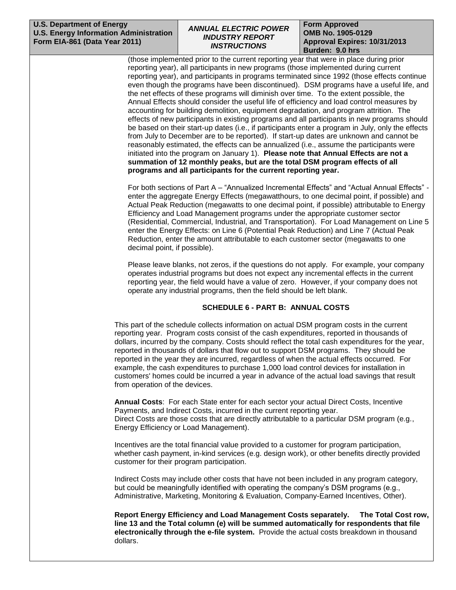#### **U.S. Department of Energy U.S. Energy Information Administration Form EIA-861 (Data Year 2011)**

# *ANNUAL ELECTRIC POWER INDUSTRY REPORT INSTRUCTIONS*

**Form Approved OMB No. 1905-0129 Approval Expires: 10/31/2013 Burden: 9.0 hrs** 

(those implemented prior to the current reporting year that were in place during prior reporting year), all participants in new programs (those implemented during current reporting year), and participants in programs terminated since 1992 (those effects continue even though the programs have been discontinued). DSM programs have a useful life, and the net effects of these programs will diminish over time. To the extent possible, the Annual Effects should consider the useful life of efficiency and load control measures by accounting for building demolition, equipment degradation, and program attrition. The effects of new participants in existing programs and all participants in new programs should be based on their start-up dates (i.e., if participants enter a program in July, only the effects from July to December are to be reported). If start-up dates are unknown and cannot be reasonably estimated, the effects can be annualized (i.e., assume the participants were initiated into the program on January 1). **Please note that Annual Effects are not a summation of 12 monthly peaks, but are the total DSM program effects of all programs and all participants for the current reporting year.**

For both sections of Part A – "Annualized Incremental Effects" and "Actual Annual Effects" enter the aggregate Energy Effects (megawatthours, to one decimal point, if possible) and Actual Peak Reduction (megawatts to one decimal point, if possible) attributable to Energy Efficiency and Load Management programs under the appropriate customer sector (Residential, Commercial, Industrial, and Transportation). For Load Management on Line 5 enter the Energy Effects: on Line 6 (Potential Peak Reduction) and Line 7 (Actual Peak Reduction, enter the amount attributable to each customer sector (megawatts to one decimal point, if possible).

Please leave blanks, not zeros, if the questions do not apply. For example, your company operates industrial programs but does not expect any incremental effects in the current reporting year, the field would have a value of zero. However, if your company does not operate any industrial programs, then the field should be left blank.

# **SCHEDULE 6 - PART B: ANNUAL COSTS**

This part of the schedule collects information on actual DSM program costs in the current reporting year. Program costs consist of the cash expenditures, reported in thousands of dollars, incurred by the company. Costs should reflect the total cash expenditures for the year, reported in thousands of dollars that flow out to support DSM programs. They should be reported in the year they are incurred, regardless of when the actual effects occurred. For example, the cash expenditures to purchase 1,000 load control devices for installation in customers' homes could be incurred a year in advance of the actual load savings that result from operation of the devices.

**Annual Costs**: For each State enter for each sector your actual Direct Costs, Incentive Payments, and Indirect Costs, incurred in the current reporting year. Direct Costs are those costs that are directly attributable to a particular DSM program (e.g., Energy Efficiency or Load Management).

Incentives are the total financial value provided to a customer for program participation, whether cash payment, in-kind services (e.g. design work), or other benefits directly provided customer for their program participation.

Indirect Costs may include other costs that have not been included in any program category, but could be meaningfully identified with operating the company's DSM programs (e.g., Administrative, Marketing, Monitoring & Evaluation, Company-Earned Incentives, Other).

**Report Energy Efficiency and Load Management Costs separately. The Total Cost row, line 13 and the Total column (e) will be summed automatically for respondents that file electronically through the e-file system.** Provide the actual costs breakdown in thousand dollars.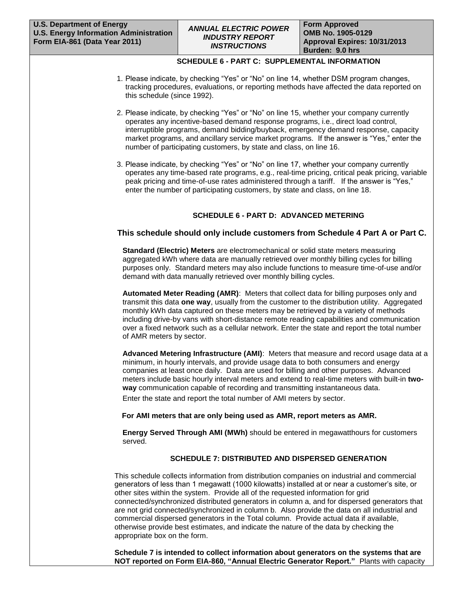## **SCHEDULE 6 - PART C: SUPPLEMENTAL INFORMATION**

- 1. Please indicate, by checking "Yes" or "No" on line 14, whether DSM program changes, tracking procedures, evaluations, or reporting methods have affected the data reported on this schedule (since 1992).
- 2. Please indicate, by checking "Yes" or "No" on line 15, whether your company currently operates any incentive-based demand response programs, i.e., direct load control, interruptible programs, demand bidding/buyback, emergency demand response, capacity market programs, and ancillary service market programs. If the answer is "Yes," enter the number of participating customers, by state and class, on line 16.
- 3. Please indicate, by checking "Yes" or "No" on line 17, whether your company currently operates any time-based rate programs, e.g., real-time pricing, critical peak pricing, variable peak pricing and time-of-use rates administered through a tariff. If the answer is "Yes," enter the number of participating customers, by state and class, on line 18.

# **SCHEDULE 6 - PART D: ADVANCED METERING**

## **This schedule should only include customers from Schedule 4 Part A or Part C.**

**Standard (Electric) Meters** are electromechanical or solid state meters measuring aggregated kWh where data are manually retrieved over monthly billing cycles for billing purposes only. Standard meters may also include functions to measure time-of-use and/or demand with data manually retrieved over monthly billing cycles.

**Automated Meter Reading (AMR)**: Meters that collect data for billing purposes only and transmit this data **one way**, usually from the customer to the distribution utility. Aggregated monthly kWh data captured on these meters may be retrieved by a variety of methods including drive-by vans with short-distance remote reading capabilities and communication over a fixed network such as a cellular network. Enter the state and report the total number of AMR meters by sector.

**Advanced Metering Infrastructure (AMI)**: Meters that measure and record usage data at a minimum, in hourly intervals, and provide usage data to both consumers and energy companies at least once daily. Data are used for billing and other purposes. Advanced meters include basic hourly interval meters and extend to real-time meters with built-in **twoway** communication capable of recording and transmitting instantaneous data.

Enter the state and report the total number of AMI meters by sector.

#### **For AMI meters that are only being used as AMR, report meters as AMR.**

**Energy Served Through AMI (MWh)** should be entered in megawatthours for customers served.

## **SCHEDULE 7: DISTRIBUTED AND DISPERSED GENERATION**

This schedule collects information from distribution companies on industrial and commercial generators of less than 1 megawatt (1000 kilowatts) installed at or near a customer's site, or other sites within the system. Provide all of the requested information for grid connected/synchronized distributed generators in column a, and for dispersed generators that are not grid connected/synchronized in column b. Also provide the data on all industrial and commercial dispersed generators in the Total column. Provide actual data if available, otherwise provide best estimates, and indicate the nature of the data by checking the appropriate box on the form.

**Schedule 7 is intended to collect information about generators on the systems that are NOT reported on Form EIA-860, "Annual Electric Generator Report."** Plants with capacity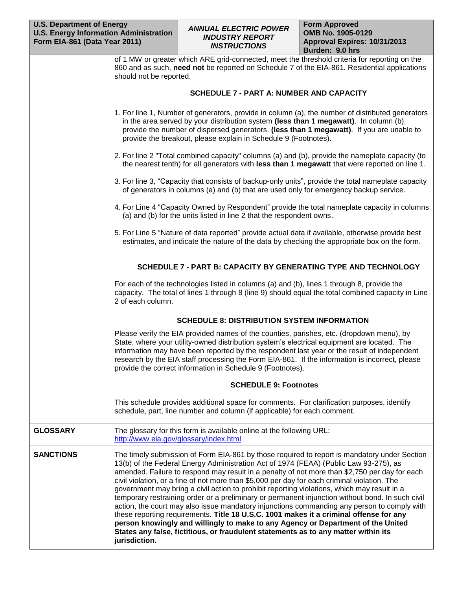| of 1 MW or greater which ARE grid-connected, meet the threshold criteria for reporting on the |
|-----------------------------------------------------------------------------------------------|
| 860 and as such, need not be reported on Schedule 7 of the EIA-861. Residential applications  |
| should not be reported.                                                                       |

## **SCHEDULE 7 - PART A: NUMBER AND CAPACITY**

- 1. For line 1, Number of generators, provide in column (a), the number of distributed generators in the area served by your distribution system **(less than 1 megawatt)**. In column (b), provide the number of dispersed generators. **(less than 1 megawatt)**. If you are unable to provide the breakout, please explain in Schedule 9 (Footnotes).
- 2. For line 2 "Total combined capacity" columns (a) and (b), provide the nameplate capacity (to the nearest tenth) for all generators with **less than 1 megawatt** that were reported on line 1.
- 3. For line 3, "Capacity that consists of backup-only units", provide the total nameplate capacity of generators in columns (a) and (b) that are used only for emergency backup service.
- 4. For Line 4 "Capacity Owned by Respondent" provide the total nameplate capacity in columns (a) and (b) for the units listed in line 2 that the respondent owns.
- 5. For Line 5 "Nature of data reported" provide actual data if available, otherwise provide best estimates, and indicate the nature of the data by checking the appropriate box on the form.

## **SCHEDULE 7 - PART B: CAPACITY BY GENERATING TYPE AND TECHNOLOGY**

For each of the technologies listed in columns (a) and (b), lines 1 through 8, provide the capacity. The total of lines 1 through 8 (line 9) should equal the total combined capacity in Line 2 of each column.

## **SCHEDULE 8: DISTRIBUTION SYSTEM INFORMATION**

Please verify the EIA provided names of the counties, parishes, etc. (dropdown menu), by State, where your utility-owned distribution system's electrical equipment are located. The information may have been reported by the respondent last year or the result of independent research by the EIA staff processing the Form EIA-861. If the information is incorrect, please provide the correct information in Schedule 9 (Footnotes).

## **SCHEDULE 9: Footnotes**

This schedule provides additional space for comments. For clarification purposes, identify schedule, part, line number and column (if applicable) for each comment.

**GLOSSARY** The glossary for this form is available online at the following URL: [http://www.eia.gov/glossary/index.html](http://www.eia.doe.gov/glossary/index.html)

**SANCTIONS** The timely submission of Form EIA-861 by those required to report is mandatory under Section 13(b) of the Federal Energy Administration Act of 1974 (FEAA) (Public Law 93-275), as amended. Failure to respond may result in a penalty of not more than \$2,750 per day for each civil violation, or a fine of not more than \$5,000 per day for each criminal violation. The government may bring a civil action to prohibit reporting violations, which may result in a temporary restraining order or a preliminary or permanent injunction without bond. In such civil action, the court may also issue mandatory injunctions commanding any person to comply with these reporting requirements. **Title 18 U.S.C. 1001 makes it a criminal offense for any person knowingly and willingly to make to any Agency or Department of the United States any false, fictitious, or fraudulent statements as to any matter within its jurisdiction.**